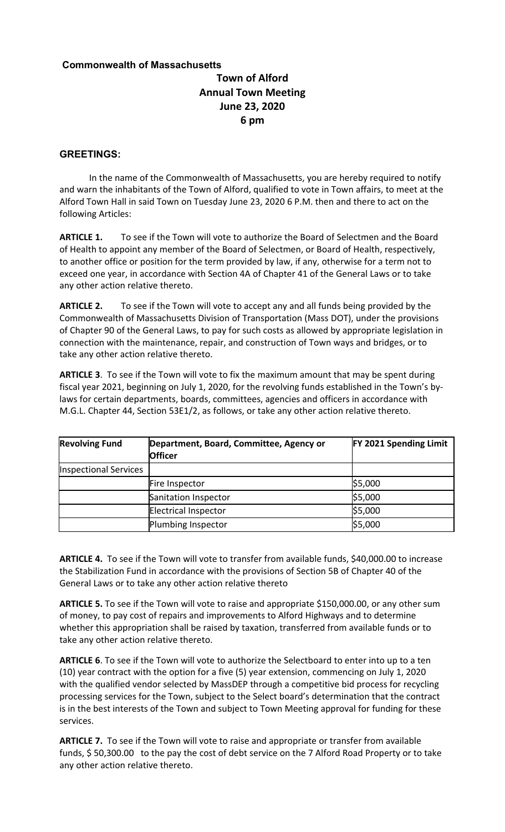## **Commonwealth of Massachusetts**

## **Town of Alford Annual Town Meeting June 23, 2020 6 pm**

## **GREETINGS:**

In the name of the Commonwealth of Massachusetts, you are hereby required to notify and warn the inhabitants of the Town of Alford, qualified to vote in Town affairs, to meet at the Alford Town Hall in said Town on Tuesday June 23, 2020 6 P.M. then and there to act on the following Articles:

**ARTICLE 1.** To see if the Town will vote to authorize the Board of Selectmen and the Board of Health to appoint any member of the Board of Selectmen, or Board of Health, respectively, to another office or position for the term provided by law, if any, otherwise for a term not to exceed one year, in accordance with Section 4A of Chapter 41 of the General Laws or to take any other action relative thereto.

**ARTICLE 2.** To see if the Town will vote to accept any and all funds being provided by the Commonwealth of Massachusetts Division of Transportation (Mass DOT), under the provisions of Chapter 90 of the General Laws, to pay for such costs as allowed by appropriate legislation in connection with the maintenance, repair, and construction of Town ways and bridges, or to take any other action relative thereto.

**ARTICLE 3**. To see if the Town will vote to fix the maximum amount that may be spent during fiscal year 2021, beginning on July 1, 2020, for the revolving funds established in the Town's bylaws for certain departments, boards, committees, agencies and officers in accordance with M.G.L. Chapter 44, Section 53E1/2, as follows, or take any other action relative thereto.

| <b>Revolving Fund</b> | Department, Board, Committee, Agency or<br><b>Officer</b> | <b>FY 2021 Spending Limit</b> |
|-----------------------|-----------------------------------------------------------|-------------------------------|
| Inspectional Services |                                                           |                               |
|                       | Fire Inspector                                            | \$5,000                       |
|                       | Sanitation Inspector                                      | \$5,000                       |
|                       | Electrical Inspector                                      | \$5,000                       |
|                       | Plumbing Inspector                                        | \$5,000                       |

**ARTICLE 4.** To see if the Town will vote to transfer from available funds, \$40,000.00 to increase the Stabilization Fund in accordance with the provisions of Section 5B of Chapter 40 of the General Laws or to take any other action relative thereto

**ARTICLE 5.** To see if the Town will vote to raise and appropriate \$150,000.00, or any other sum of money, to pay cost of repairs and improvements to Alford Highways and to determine whether this appropriation shall be raised by taxation, transferred from available funds or to take any other action relative thereto.

**ARTICLE 6**. To see if the Town will vote to authorize the Selectboard to enter into up to a ten (10) year contract with the option for a five (5) year extension, commencing on July 1, 2020 with the qualified vendor selected by MassDEP through a competitive bid process for recycling processing services for the Town, subject to the Select board's determination that the contract is in the best interests of the Town and subject to Town Meeting approval for funding for these services.

**ARTICLE 7.** To see if the Town will vote to raise and appropriate or transfer from available funds, \$ 50,300.00 to the pay the cost of debt service on the 7 Alford Road Property or to take any other action relative thereto.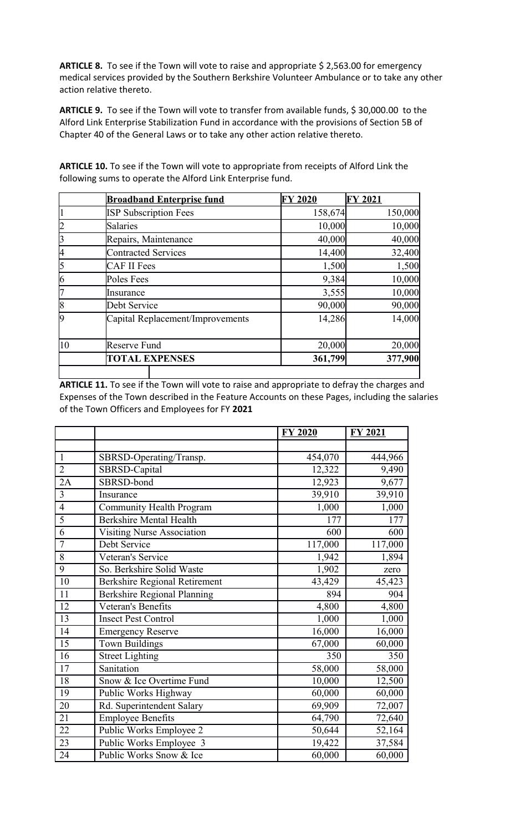ARTICLE 8. To see if the Town will vote to raise and appropriate \$ 2,563.00 for emergency medical services provided by the Southern Berkshire Volunteer Ambulance or to take any other action relative thereto.

ARTICLE 9. To see if the Town will vote to transfer from available funds, \$30,000.00 to the Alford Link Enterprise Stabilization Fund in accordance with the provisions of Section 5B of Chapter 40 of the General Laws or to take any other action relative thereto.

|                 | <b>Broadband Enterprise fund</b> | <b>FY 2020</b> | <b>FY 2021</b> |
|-----------------|----------------------------------|----------------|----------------|
| 1               | <b>ISP Subscription Fees</b>     | 158,674        | 150,000        |
| $\overline{2}$  | <b>Salaries</b>                  | 10,000         | 10,000         |
| 3               | Repairs, Maintenance             | 40,000         | 40,000         |
| 4               | <b>Contracted Services</b>       | 14,400         | 32,400         |
| $\vert$ 5       | <b>CAF II Fees</b>               | 1,500          | 1,500          |
| $\vert 6 \vert$ | Poles Fees                       | 9,384          | 10,000         |
| 17              | Insurance                        | 3,555          | 10,000         |
| 8               | Debt Service                     | 90,000         | 90,000         |
| 19              | Capital Replacement/Improvements | 14,286         | 14,000         |
| $ 10\rangle$    | Reserve Fund                     | 20,000         | 20,000         |
|                 | <b>TOTAL EXPENSES</b>            | 361,799        | 377,900        |
|                 |                                  |                |                |

**ARTICLE 10.** To see if the Town will vote to appropriate from receipts of Alford Link the following sums to operate the Alford Link Enterprise fund.

**ARTICLE 11.** To see if the Town will vote to raise and appropriate to defray the charges and Expenses of the Town described in the Feature Accounts on these Pages, including the salaries of the Town Officers and Employees for FY **2021**

|                |                                 | <b>FY 2020</b> | <b>FY 2021</b> |
|----------------|---------------------------------|----------------|----------------|
|                |                                 |                |                |
| $\mathbf{1}$   | SBRSD-Operating/Transp.         | 454,070        | 444,966        |
| $\overline{2}$ | SBRSD-Capital                   | 12,322         | 9,490          |
| 2A             | SBRSD-bond                      | 12,923         | 9,677          |
| $\overline{3}$ | Insurance                       | 39,910         | 39,910         |
| $\overline{4}$ | <b>Community Health Program</b> | 1,000          | 1,000          |
| 5              | <b>Berkshire Mental Health</b>  | 177            | 177            |
| 6              | Visiting Nurse Association      | 600            | 600            |
| $\overline{7}$ | Debt Service                    | 117,000        | 117,000        |
| 8              | Veteran's Service               | 1,942          | 1,894          |
| 9              | So. Berkshire Solid Waste       | 1,902          | zero           |
| 10             | Berkshire Regional Retirement   | 43,429         | 45,423         |
| 11             | Berkshire Regional Planning     | 894            | 904            |
| 12             | Veteran's Benefits              | 4,800          | 4,800          |
| 13             | <b>Insect Pest Control</b>      | 1,000          | 1,000          |
| 14             | <b>Emergency Reserve</b>        | 16,000         | 16,000         |
| 15             | <b>Town Buildings</b>           | 67,000         | 60,000         |
| 16             | <b>Street Lighting</b>          | 350            | 350            |
| 17             | Sanitation                      | 58,000         | 58,000         |
| 18             | Snow & Ice Overtime Fund        | 10,000         | 12,500         |
| 19             | Public Works Highway            | 60,000         | 60,000         |
| 20             | Rd. Superintendent Salary       | 69,909         | 72,007         |
| 21             | <b>Employee Benefits</b>        | 64,790         | 72,640         |
| 22             | Public Works Employee 2         | 50,644         | 52,164         |
| 23             | Public Works Employee 3         | 19,422         | 37,584         |
| 24             | Public Works Snow & Ice         | 60,000         | 60,000         |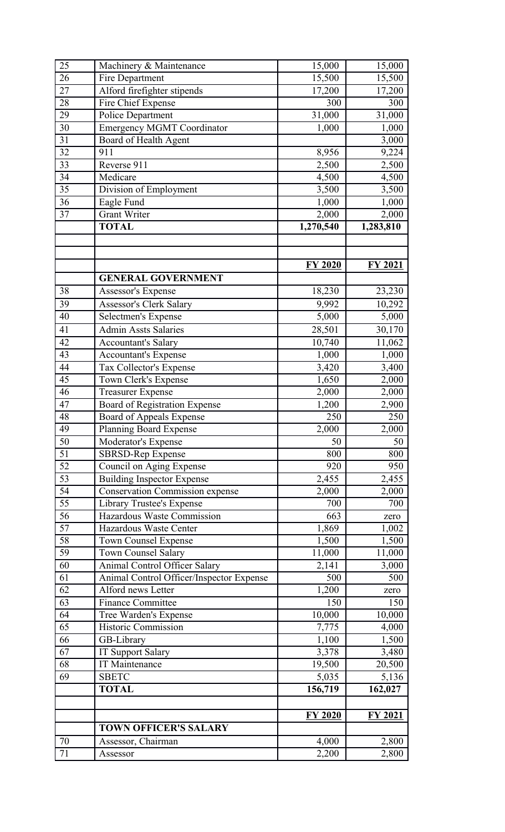| 25 | Machinery & Maintenance                  | 15,000         | 15,000         |
|----|------------------------------------------|----------------|----------------|
| 26 | Fire Department                          | 15,500         | 15,500         |
| 27 | Alford firefighter stipends              | 17,200         | 17,200         |
| 28 | Fire Chief Expense                       | 300            | 300            |
| 29 | <b>Police Department</b>                 | 31,000         | 31,000         |
| 30 | <b>Emergency MGMT Coordinator</b>        | 1,000          | 1,000          |
| 31 | Board of Health Agent                    |                | 3,000          |
| 32 | 911                                      | 8,956          | 9,224          |
| 33 | Reverse 911                              | 2,500          | 2,500          |
| 34 | Medicare                                 | 4,500          | 4,500          |
| 35 | Division of Employment                   | 3,500          | 3,500          |
| 36 | Eagle Fund                               | 1,000          | 1,000          |
| 37 | <b>Grant Writer</b>                      | 2,000          | 2,000          |
|    | <b>TOTAL</b>                             | 1,270,540      | 1,283,810      |
|    |                                          |                |                |
|    |                                          |                |                |
|    |                                          | <b>FY 2020</b> | <b>FY 2021</b> |
|    | <b>GENERAL GOVERNMENT</b>                |                |                |
| 38 | Assessor's Expense                       | 18,230         | 23,230         |
| 39 | <b>Assessor's Clerk Salary</b>           | 9,992          | 10,292         |
| 40 | <b>Selectmen's Expense</b>               | 5,000          | 5,000          |
| 41 | <b>Admin Assts Salaries</b>              | 28,501         | 30,170         |
| 42 | <b>Accountant's Salary</b>               | 10,740         | 11,062         |
| 43 | Accountant's Expense                     | 1,000          | 1,000          |
| 44 | Tax Collector's Expense                  | 3,420          | 3,400          |
| 45 | Town Clerk's Expense                     | 1,650          | 2,000          |
| 46 | <b>Treasurer Expense</b>                 | 2,000          | 2,000          |
| 47 | Board of Registration Expense            | 1,200          | 2,900          |
| 48 | Board of Appeals Expense                 | 250            | 250            |
| 49 | <b>Planning Board Expense</b>            | 2,000          | 2,000          |
| 50 | Moderator's Expense                      | 50             | 50             |
| 51 | SBRSD-Rep Expense                        | 800            | 800            |
| 52 | Council on Aging Expense                 | 920            | 950            |
| 53 | <b>Building Inspector Expense</b>        | 2,455          | 2,455          |
| 54 | <b>Conservation Commission expense</b>   | 2,000          | 2,000          |
| 55 | Library Trustee's Expense                | 700            | 700            |
| 56 | Hazardous Waste Commission               | 663            | zero           |
| 57 | Hazardous Waste Center                   | 1,869          | 1,002          |
| 58 | <b>Town Counsel Expense</b>              | 1,500          | 1,500          |
| 59 | Town Counsel Salary                      | 11,000         | 11,000         |
| 60 | Animal Control Officer Salary            | 2,141          | 3,000          |
| 61 | Animal Control Officer/Inspector Expense | 500            | 500            |
| 62 | Alford news Letter                       | 1,200          | zero           |
| 63 | <b>Finance Committee</b>                 | 150            | 150            |
| 64 | Tree Warden's Expense                    | 10,000         | 10,000         |
| 65 | <b>Historic Commission</b>               | 7,775          | 4,000          |
| 66 | GB-Library                               | 1,100          | 1,500          |
| 67 | IT Support Salary                        | 3,378          | 3,480          |
| 68 | <b>IT Maintenance</b>                    | 19,500         | 20,500         |
| 69 | <b>SBETC</b>                             | 5,035          | 5,136          |
|    | <b>TOTAL</b>                             | 156,719        | 162,027        |
|    |                                          |                |                |
|    |                                          | <b>FY 2020</b> | <b>FY 2021</b> |
|    | <b>TOWN OFFICER'S SALARY</b>             |                |                |
| 70 | Assessor, Chairman                       | 4,000          | 2,800          |
| 71 | Assessor                                 | 2,200          | 2,800          |